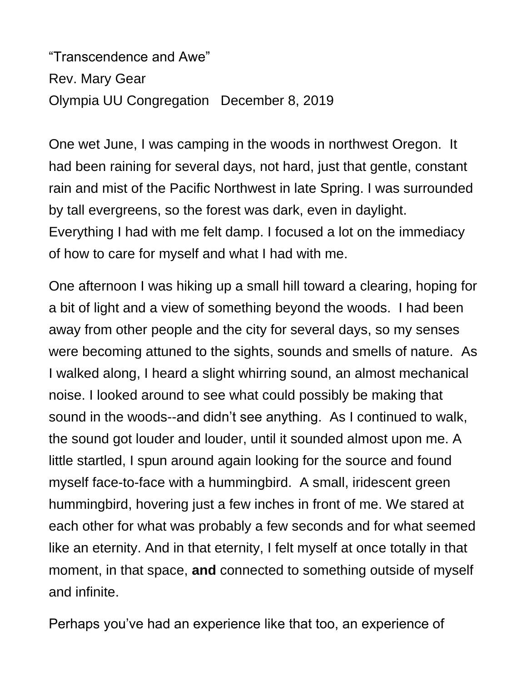"Transcendence and Awe" Rev. Mary Gear Olympia UU Congregation December 8, 2019

One wet June, I was camping in the woods in northwest Oregon. It had been raining for several days, not hard, just that gentle, constant rain and mist of the Pacific Northwest in late Spring. I was surrounded by tall evergreens, so the forest was dark, even in daylight. Everything I had with me felt damp. I focused a lot on the immediacy of how to care for myself and what I had with me.

One afternoon I was hiking up a small hill toward a clearing, hoping for a bit of light and a view of something beyond the woods. I had been away from other people and the city for several days, so my senses were becoming attuned to the sights, sounds and smells of nature. As I walked along, I heard a slight whirring sound, an almost mechanical noise. I looked around to see what could possibly be making that sound in the woods--and didn't see anything. As I continued to walk, the sound got louder and louder, until it sounded almost upon me. A little startled, I spun around again looking for the source and found myself face-to-face with a hummingbird. A small, iridescent green hummingbird, hovering just a few inches in front of me. We stared at each other for what was probably a few seconds and for what seemed like an eternity. And in that eternity, I felt myself at once totally in that moment, in that space, **and** connected to something outside of myself and infinite.

Perhaps you've had an experience like that too, an experience of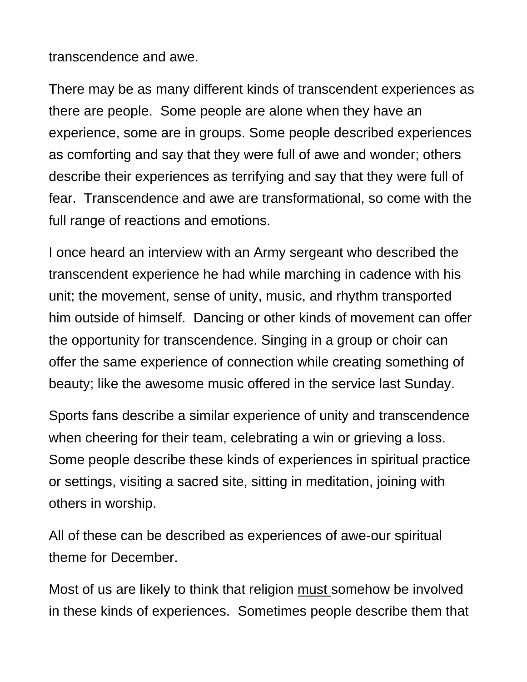transcendence and awe.

There may be as many different kinds of transcendent experiences as there are people. Some people are alone when they have an experience, some are in groups. Some people described experiences as comforting and say that they were full of awe and wonder; others describe their experiences as terrifying and say that they were full of fear. Transcendence and awe are transformational, so come with the full range of reactions and emotions.

I once heard an interview with an Army sergeant who described the transcendent experience he had while marching in cadence with his unit; the movement, sense of unity, music, and rhythm transported him outside of himself. Dancing or other kinds of movement can offer the opportunity for transcendence. Singing in a group or choir can offer the same experience of connection while creating something of beauty; like the awesome music offered in the service last Sunday.

Sports fans describe a similar experience of unity and transcendence when cheering for their team, celebrating a win or grieving a loss. Some people describe these kinds of experiences in spiritual practice or settings, visiting a sacred site, sitting in meditation, joining with others in worship.

All of these can be described as experiences of awe-our spiritual theme for December.

Most of us are likely to think that religion must somehow be involved in these kinds of experiences. Sometimes people describe them that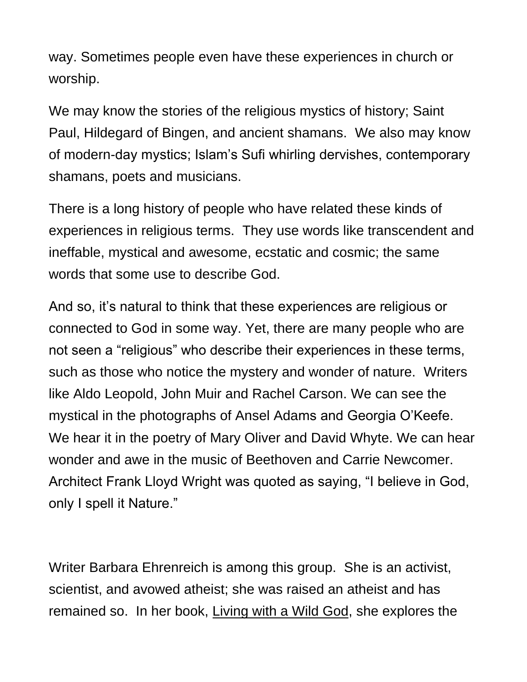way. Sometimes people even have these experiences in church or worship.

We may know the stories of the religious mystics of history; Saint Paul, Hildegard of Bingen, and ancient shamans. We also may know of modern-day mystics; Islam's Sufi whirling dervishes, contemporary shamans, poets and musicians.

There is a long history of people who have related these kinds of experiences in religious terms. They use words like transcendent and ineffable, mystical and awesome, ecstatic and cosmic; the same words that some use to describe God.

And so, it's natural to think that these experiences are religious or connected to God in some way. Yet, there are many people who are not seen a "religious" who describe their experiences in these terms, such as those who notice the mystery and wonder of nature. Writers like Aldo Leopold, John Muir and Rachel Carson. We can see the mystical in the photographs of Ansel Adams and Georgia O'Keefe. We hear it in the poetry of Mary Oliver and David Whyte. We can hear wonder and awe in the music of Beethoven and Carrie Newcomer. Architect Frank Lloyd Wright was quoted as saying, "I believe in God, only I spell it Nature."

Writer Barbara Ehrenreich is among this group. She is an activist, scientist, and avowed atheist; she was raised an atheist and has remained so. In her book, Living with a Wild God, she explores the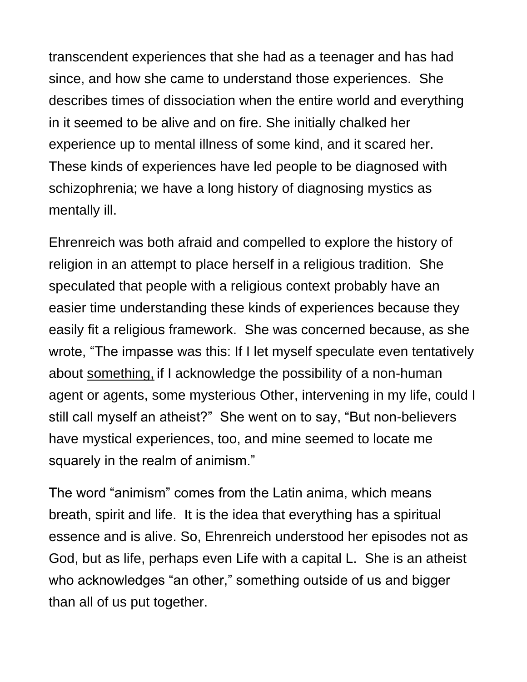transcendent experiences that she had as a teenager and has had since, and how she came to understand those experiences. She describes times of dissociation when the entire world and everything in it seemed to be alive and on fire. She initially chalked her experience up to mental illness of some kind, and it scared her. These kinds of experiences have led people to be diagnosed with schizophrenia; we have a long history of diagnosing mystics as mentally ill.

Ehrenreich was both afraid and compelled to explore the history of religion in an attempt to place herself in a religious tradition. She speculated that people with a religious context probably have an easier time understanding these kinds of experiences because they easily fit a religious framework. She was concerned because, as she wrote, "The impasse was this: If I let myself speculate even tentatively about something, if I acknowledge the possibility of a non-human agent or agents, some mysterious Other, intervening in my life, could I still call myself an atheist?" She went on to say, "But non-believers have mystical experiences, too, and mine seemed to locate me squarely in the realm of animism."

The word "animism" comes from the Latin anima, which means breath, spirit and life. It is the idea that everything has a spiritual essence and is alive. So, Ehrenreich understood her episodes not as God, but as life, perhaps even Life with a capital L. She is an atheist who acknowledges "an other," something outside of us and bigger than all of us put together.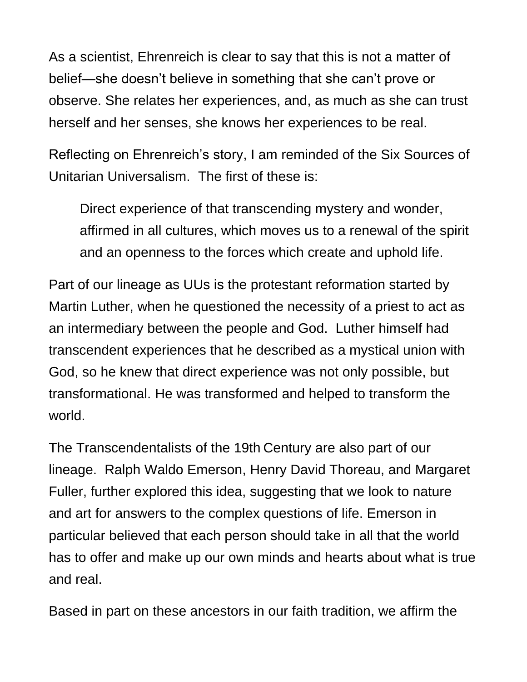As a scientist, Ehrenreich is clear to say that this is not a matter of belief—she doesn't believe in something that she can't prove or observe. She relates her experiences, and, as much as she can trust herself and her senses, she knows her experiences to be real.

Reflecting on Ehrenreich's story, I am reminded of the Six Sources of Unitarian Universalism. The first of these is:

Direct experience of that transcending mystery and wonder, affirmed in all cultures, which moves us to a renewal of the spirit and an openness to the forces which create and uphold life.

Part of our lineage as UUs is the protestant reformation started by Martin Luther, when he questioned the necessity of a priest to act as an intermediary between the people and God. Luther himself had transcendent experiences that he described as a mystical union with God, so he knew that direct experience was not only possible, but transformational. He was transformed and helped to transform the world.

The Transcendentalists of the 19th Century are also part of our lineage. Ralph Waldo Emerson, Henry David Thoreau, and Margaret Fuller, further explored this idea, suggesting that we look to nature and art for answers to the complex questions of life. Emerson in particular believed that each person should take in all that the world has to offer and make up our own minds and hearts about what is true and real.

Based in part on these ancestors in our faith tradition, we affirm the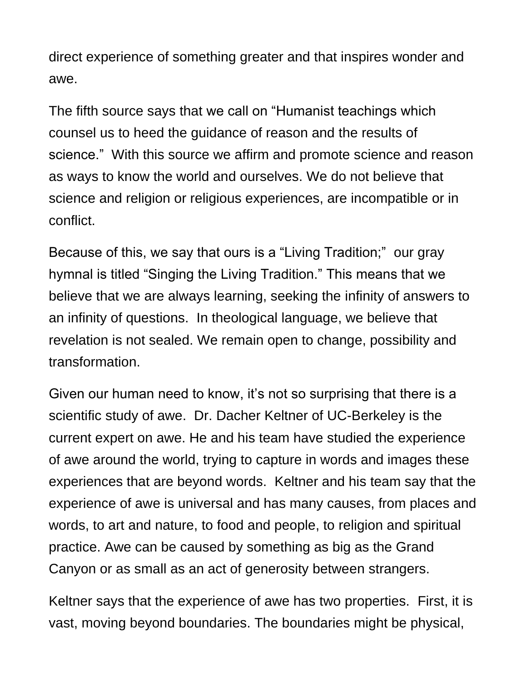direct experience of something greater and that inspires wonder and awe.

The fifth source says that we call on "Humanist teachings which counsel us to heed the guidance of reason and the results of science." With this source we affirm and promote science and reason as ways to know the world and ourselves. We do not believe that science and religion or religious experiences, are incompatible or in conflict.

Because of this, we say that ours is a "Living Tradition;" our gray hymnal is titled "Singing the Living Tradition." This means that we believe that we are always learning, seeking the infinity of answers to an infinity of questions. In theological language, we believe that revelation is not sealed. We remain open to change, possibility and transformation.

Given our human need to know, it's not so surprising that there is a scientific study of awe. Dr. Dacher Keltner of UC-Berkeley is the current expert on awe. He and his team have studied the experience of awe around the world, trying to capture in words and images these experiences that are beyond words. Keltner and his team say that the experience of awe is universal and has many causes, from places and words, to art and nature, to food and people, to religion and spiritual practice. Awe can be caused by something as big as the Grand Canyon or as small as an act of generosity between strangers.

Keltner says that the experience of awe has two properties. First, it is vast, moving beyond boundaries. The boundaries might be physical,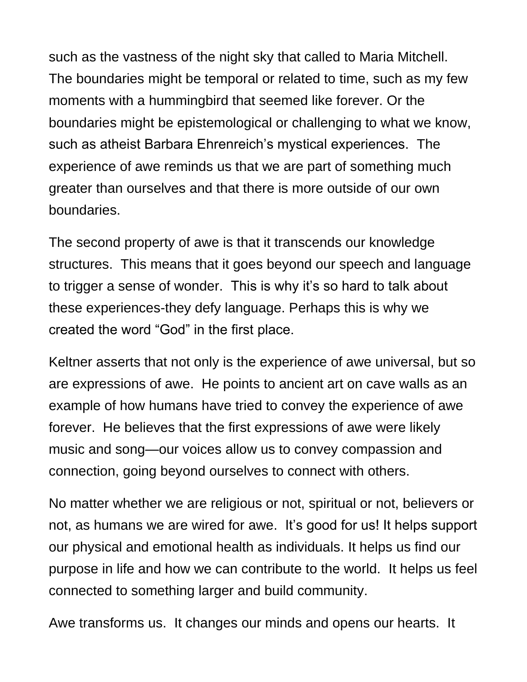such as the vastness of the night sky that called to Maria Mitchell. The boundaries might be temporal or related to time, such as my few moments with a hummingbird that seemed like forever. Or the boundaries might be epistemological or challenging to what we know, such as atheist Barbara Ehrenreich's mystical experiences. The experience of awe reminds us that we are part of something much greater than ourselves and that there is more outside of our own boundaries.

The second property of awe is that it transcends our knowledge structures. This means that it goes beyond our speech and language to trigger a sense of wonder. This is why it's so hard to talk about these experiences-they defy language. Perhaps this is why we created the word "God" in the first place.

Keltner asserts that not only is the experience of awe universal, but so are expressions of awe. He points to ancient art on cave walls as an example of how humans have tried to convey the experience of awe forever. He believes that the first expressions of awe were likely music and song—our voices allow us to convey compassion and connection, going beyond ourselves to connect with others.

No matter whether we are religious or not, spiritual or not, believers or not, as humans we are wired for awe. It's good for us! It helps support our physical and emotional health as individuals. It helps us find our purpose in life and how we can contribute to the world. It helps us feel connected to something larger and build community.

Awe transforms us. It changes our minds and opens our hearts. It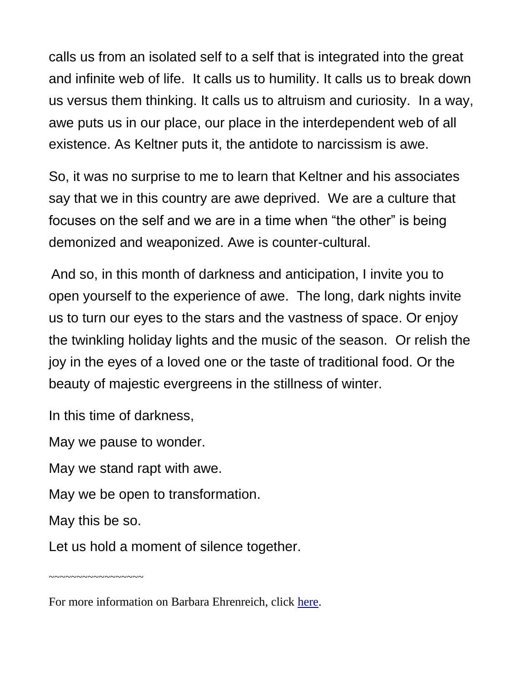calls us from an isolated self to a self that is integrated into the great and infinite web of life. It calls us to humility. It calls us to break down us versus them thinking. It calls us to altruism and curiosity. In a way, awe puts us in our place, our place in the interdependent web of all existence. As Keltner puts it, the antidote to narcissism is awe.

So, it was no surprise to me to learn that Keltner and his associates say that we in this country are awe deprived. We are a culture that focuses on the self and we are in a time when "the other" is being demonized and weaponized. Awe is counter-cultural.

And so, in this month of darkness and anticipation, I invite you to open yourself to the experience of awe. The long, dark nights invite us to turn our eyes to the stars and the vastness of space. Or enjoy the twinkling holiday lights and the music of the season. Or relish the joy in the eyes of a loved one or the taste of traditional food. Or the beauty of majestic evergreens in the stillness of winter.

In this time of darkness,

May we pause to wonder.

May we stand rapt with awe.

May we be open to transformation.

May this be so.

Let us hold a moment of silence together.

~~~~~~~~~~~~~~~~~

For more information on Barbara Ehrenreich, click [here.](about:blank)